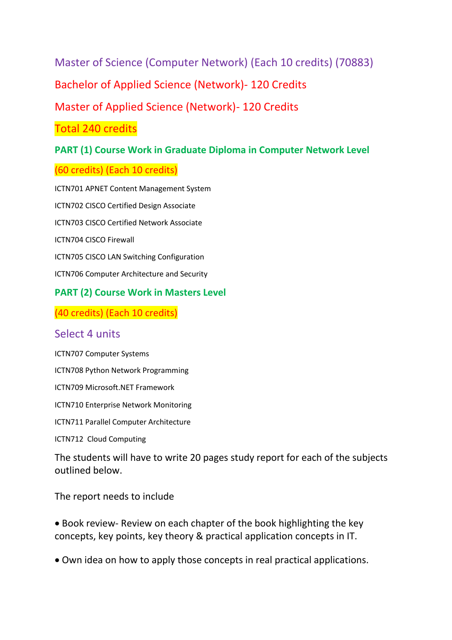Master of Science (Computer Network) (Each 10 credits) (70883)

Bachelor of Applied Science (Network)- 120 Credits

Master of Applied Science (Network)- 120 Credits

Total 240 credits

## **PART (1) Course Work in Graduate Diploma in Computer Network Level**

### (60 credits) (Each 10 credits)

ICTN701 APNET Content Management System ICTN702 CISCO Certified Design Associate ICTN703 CISCO Certified Network Associate ICTN704 CISCO Firewall ICTN705 CISCO LAN Switching Configuration ICTN706 Computer Architecture and Security

### **PART (2) Course Work in Masters Level**

(40 credits) (Each 10 credits)

### Select 4 units

ICTN707 Computer Systems

ICTN708 Python Network Programming

ICTN709 Microsoft.NET Framework

ICTN710 Enterprise Network Monitoring

ICTN711 Parallel Computer Architecture

ICTN712 Cloud Computing

The students will have to write 20 pages study report for each of the subjects outlined below.

The report needs to include

• Book review- Review on each chapter of the book highlighting the key concepts, key points, key theory & practical application concepts in IT.

• Own idea on how to apply those concepts in real practical applications.